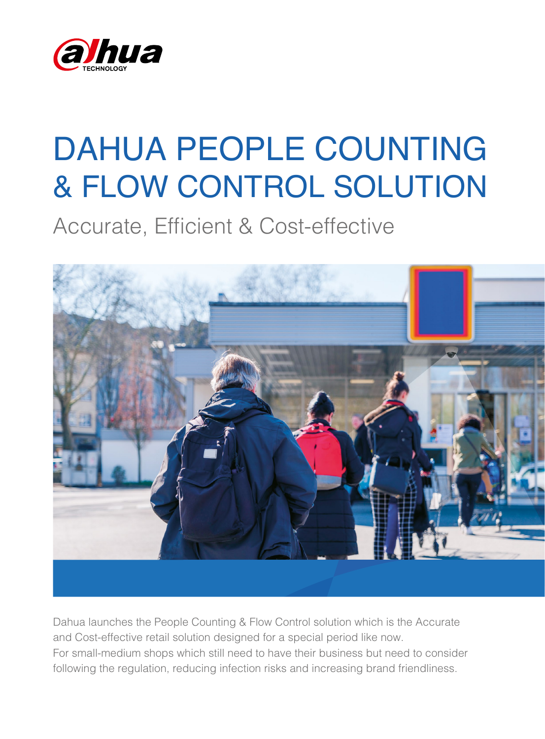

# DAHUA PEOPLE COUNTING & FLOW CONTROL SOLUTION

Accurate, Efficient & Cost-effective



Dahua launches the People Counting & Flow Control solution which is the Accurate and Cost-effective retail solution designed for a special period like now. For small-medium shops which still need to have their business but need to consider following the regulation, reducing infection risks and increasing brand friendliness.